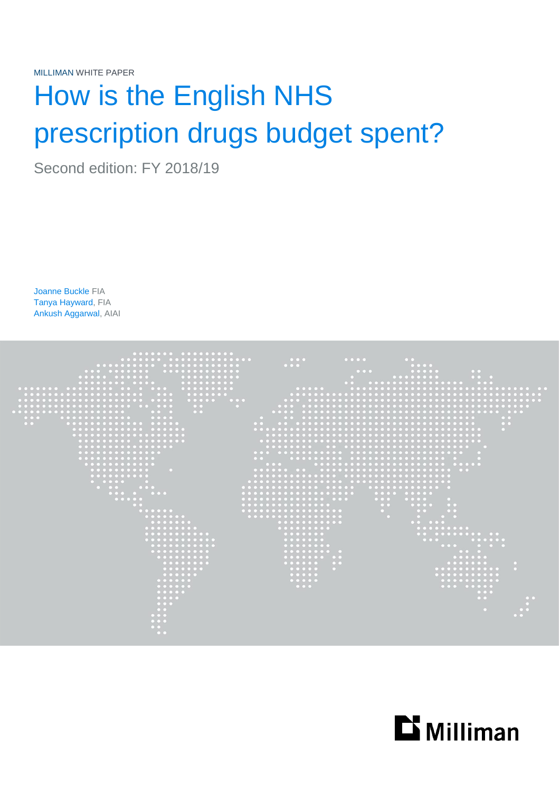MILLIMAN WHITE PAPER

# How is the English NHS prescription drugs budget spent?

Second edition: FY 2018/19

Joanne Buckle FIA Tanya Hayward, FIA Ankush Aggarwal, AIAI



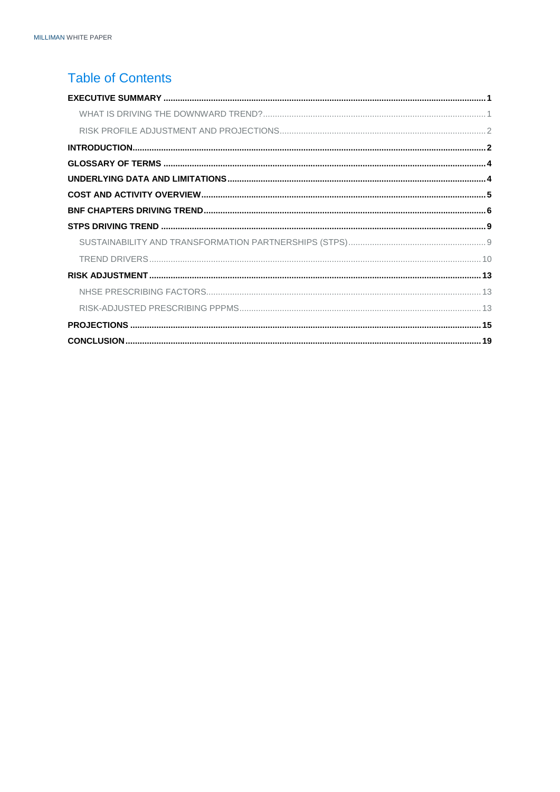# **Table of Contents**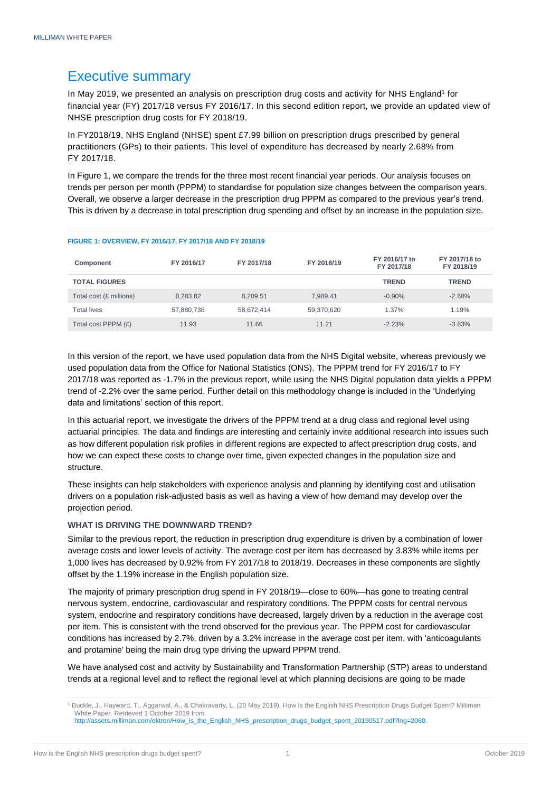# <span id="page-2-0"></span>Executive summary

In May 2019, we presented an analysis on prescription drug costs and activity for NHS England<sup>1</sup> for financial year (FY) 2017/18 versus FY 2016/17. In this second edition report, we provide an updated view of NHSE prescription drug costs for FY 2018/19.

In FY2018/19, NHS England (NHSE) spent £7.99 billion on prescription drugs prescribed by general practitioners (GPs) to their patients. This level of expenditure has decreased by nearly 2.68% from FY 2017/18.

In Figure 1, we compare the trends for the three most recent financial year periods. Our analysis focuses on trends per person per month (PPPM) to standardise for population size changes between the comparison years. Overall, we observe a larger decrease in the prescription drug PPPM as compared to the previous year's trend. This is driven by a decrease in total prescription drug spending and offset by an increase in the population size.

| Component               | FY 2016/17 | FY 2017/18 | FY 2018/19 | FY 2016/17 to<br>FY 2017/18 | FY 2017/18 to<br>FY 2018/19 |
|-------------------------|------------|------------|------------|-----------------------------|-----------------------------|
| <b>TOTAL FIGURES</b>    |            |            |            | <b>TREND</b>                | <b>TREND</b>                |
| Total cost (£ millions) | 8.283.82   | 8.209.51   | 7.989.41   | $-0.90\%$                   | $-2.68%$                    |
| <b>Total lives</b>      | 57,880,736 | 58.672.414 | 59,370,620 | $1.37\%$                    | 1.19%                       |
| Total cost PPPM (£)     | 11.93      | 11.66      | 11.21      | $-2.23%$                    | $-3.83%$                    |

#### **FIGURE 1: OVERVIEW, FY 2016/17, FY 2017/18 AND FY 2018/19**

In this version of the report, we have used population data from the NHS Digital website, whereas previously we used population data from the Office for National Statistics (ONS). The PPPM trend for FY 2016/17 to FY 2017/18 was reported as -1.7% in the previous report, while using the NHS Digital population data yields a PPPM trend of -2.2% over the same period. Further detail on this methodology change is included in the 'Underlying data and limitations' section of this report.

In this actuarial report, we investigate the drivers of the PPPM trend at a drug class and regional level using actuarial principles. The data and findings are interesting and certainly invite additional research into issues such as how different population risk profiles in different regions are expected to affect prescription drug costs, and how we can expect these costs to change over time, given expected changes in the population size and structure.

These insights can help stakeholders with experience analysis and planning by identifying cost and utilisation drivers on a population risk-adjusted basis as well as having a view of how demand may develop over the projection period.

### <span id="page-2-1"></span>**WHAT IS DRIVING THE DOWNWARD TREND?**

Similar to the previous report, the reduction in prescription drug expenditure is driven by a combination of lower average costs and lower levels of activity. The average cost per item has decreased by 3.83% while items per 1,000 lives has decreased by 0.92% from FY 2017/18 to 2018/19. Decreases in these components are slightly offset by the 1.19% increase in the English population size.

The majority of primary prescription drug spend in FY 2018/19—close to 60%—has gone to treating central nervous system, endocrine, cardiovascular and respiratory conditions. The PPPM costs for central nervous system, endocrine and respiratory conditions have decreased, largely driven by a reduction in the average cost per item. This is consistent with the trend observed for the previous year. The PPPM cost for cardiovascular conditions has increased by 2.7%, driven by a 3.2% increase in the average cost per item, with 'anticoagulants and protamine' being the main drug type driving the upward PPPM trend.

We have analysed cost and activity by Sustainability and Transformation Partnership (STP) areas to understand trends at a regional level and to reflect the regional level at which planning decisions are going to be made

<sup>1</sup> Buckle, J., Hayward, T., Aggarwal, A., & Chakravarty, L. (20 May 2019). How Is the English NHS Prescription Drugs Budget Spent? Milliman White Paper. Retrieved 1 October 2019 from [http://assets.milliman.com/ektron/How\\_is\\_the\\_English\\_NHS\\_prescription\\_drugs\\_budget\\_spent\\_20190517.pdf?lng=2060.](http://assets.milliman.com/ektron/How_is_the_English_NHS_prescription_drugs_budget_spent_20190517.pdf?lng=2060)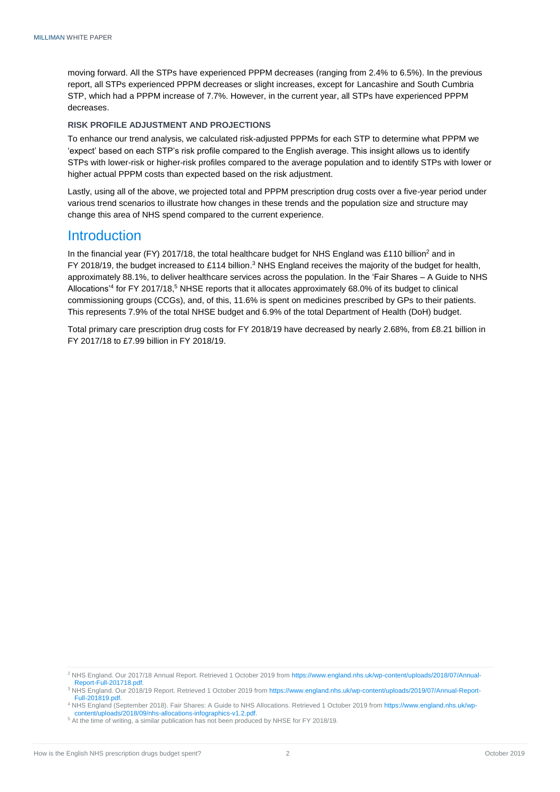moving forward. All the STPs have experienced PPPM decreases (ranging from 2.4% to 6.5%). In the previous report, all STPs experienced PPPM decreases or slight increases, except for Lancashire and South Cumbria STP, which had a PPPM increase of 7.7%. However, in the current year, all STPs have experienced PPPM decreases.

#### <span id="page-3-0"></span>**RISK PROFILE ADJUSTMENT AND PROJECTIONS**

To enhance our trend analysis, we calculated risk-adjusted PPPMs for each STP to determine what PPPM we 'expect' based on each STP's risk profile compared to the English average. This insight allows us to identify STPs with lower-risk or higher-risk profiles compared to the average population and to identify STPs with lower or higher actual PPPM costs than expected based on the risk adjustment.

Lastly, using all of the above, we projected total and PPPM prescription drug costs over a five-year period under various trend scenarios to illustrate how changes in these trends and the population size and structure may change this area of NHS spend compared to the current experience.

### <span id="page-3-1"></span>**Introduction**

In the financial year (FY) 2017/18, the total healthcare budget for NHS England was £110 billion<sup>2</sup> and in FY 2018/19, the budget increased to £114 billion.<sup>3</sup> NHS England receives the majority of the budget for health, approximately 88.1%, to deliver healthcare services across the population. In the 'Fair Shares – A Guide to NHS Allocations'<sup>4</sup> for FY 2017/18, <sup>5</sup> NHSE reports that it allocates approximately 68.0% of its budget to clinical commissioning groups (CCGs), and, of this, 11.6% is spent on medicines prescribed by GPs to their patients. This represents 7.9% of the total NHSE budget and 6.9% of the total Department of Health (DoH) budget.

Total primary care prescription drug costs for FY 2018/19 have decreased by nearly 2.68%, from £8.21 billion in FY 2017/18 to £7.99 billion in FY 2018/19.

<sup>2</sup> NHS England. Our 2017/18 Annual Report. Retrieved 1 October 2019 fro[m https://www.england.nhs.uk/wp-content/uploads/2018/07/Annual-](https://www.england.nhs.uk/wp-content/uploads/2018/07/Annual-Report-Full-201718.pdf)[Report-Full-201718.pdf.](https://www.england.nhs.uk/wp-content/uploads/2018/07/Annual-Report-Full-201718.pdf)

<sup>3</sup> NHS England. Our 2018/19 Report. Retrieved 1 October 2019 fro[m https://www.england.nhs.uk/wp-content/uploads/2019/07/Annual-Report-](https://www.england.nhs.uk/wp-content/uploads/2019/07/Annual-Report-Full-201819.pdf)[Full-201819.pdf.](https://www.england.nhs.uk/wp-content/uploads/2019/07/Annual-Report-Full-201819.pdf)

<sup>4</sup> NHS England (September 2018). Fair Shares: A Guide to NHS Allocations. Retrieved 1 October 2019 fro[m https://www.england.nhs.uk/wp](https://www.england.nhs.uk/wp-content/uploads/2018/09/nhs-allocations-infographics-v1.2.pdf)[content/uploads/2018/09/nhs-allocations-infographics-v1.2.pdf.](https://www.england.nhs.uk/wp-content/uploads/2018/09/nhs-allocations-infographics-v1.2.pdf)

<sup>5</sup> At the time of writing, a similar publication has not been produced by NHSE for FY 2018/19.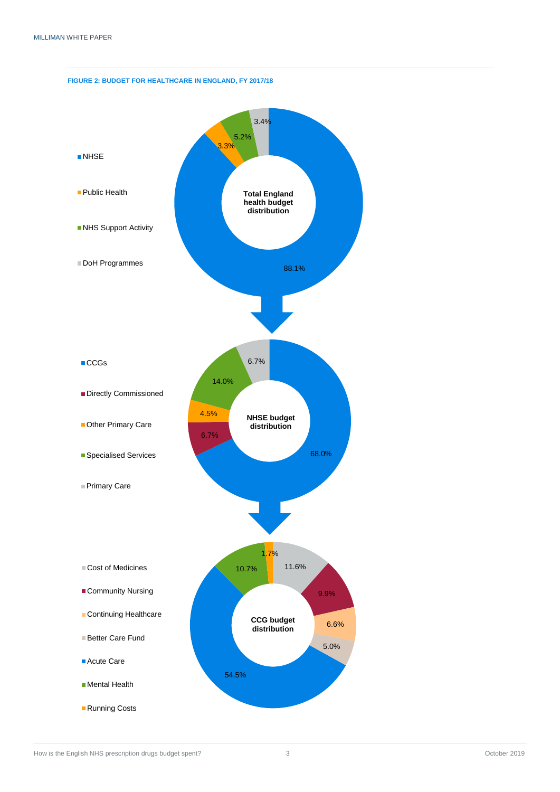### **FIGURE 2: BUDGET FOR HEALTHCARE IN ENGLAND, FY 2017/18**

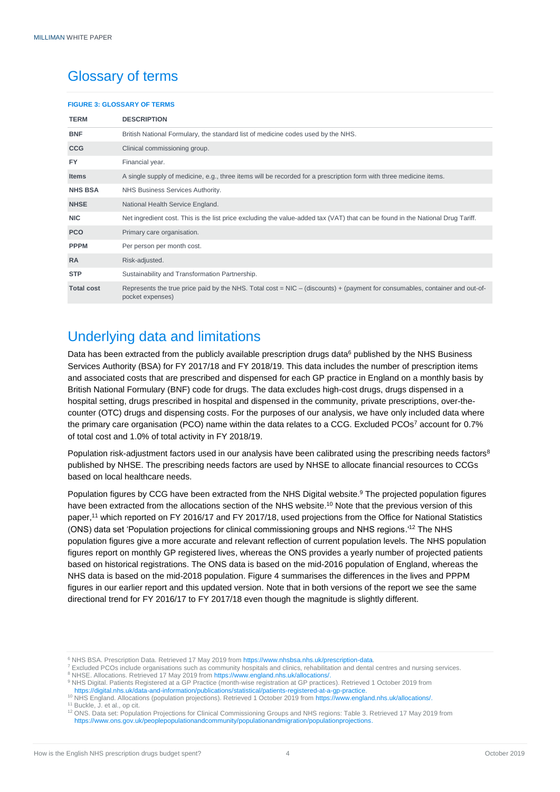# <span id="page-5-0"></span>Glossary of terms

#### **FIGURE 3: GLOSSARY OF TERMS**

| <b>TERM</b>       | <b>DESCRIPTION</b>                                                                                                                                |
|-------------------|---------------------------------------------------------------------------------------------------------------------------------------------------|
| <b>BNF</b>        | British National Formulary, the standard list of medicine codes used by the NHS.                                                                  |
| <b>CCG</b>        | Clinical commissioning group.                                                                                                                     |
| <b>FY</b>         | Financial year.                                                                                                                                   |
| <b>Items</b>      | A single supply of medicine, e.g., three items will be recorded for a prescription form with three medicine items.                                |
| <b>NHS BSA</b>    | NHS Business Services Authority.                                                                                                                  |
| <b>NHSE</b>       | National Health Service England.                                                                                                                  |
| <b>NIC</b>        | Net ingredient cost. This is the list price excluding the value-added tax (VAT) that can be found in the National Drug Tariff.                    |
| <b>PCO</b>        | Primary care organisation.                                                                                                                        |
| <b>PPPM</b>       | Per person per month cost.                                                                                                                        |
| <b>RA</b>         | Risk-adjusted.                                                                                                                                    |
| <b>STP</b>        | Sustainability and Transformation Partnership.                                                                                                    |
| <b>Total cost</b> | Represents the true price paid by the NHS. Total cost = $NIC - (discounts) + (payment for consumables, container and out-of-$<br>pocket expenses) |

# <span id="page-5-1"></span>Underlying data and limitations

Data has been extracted from the publicly available prescription drugs data<sup>6</sup> published by the NHS Business Services Authority (BSA) for FY 2017/18 and FY 2018/19. This data includes the number of prescription items and associated costs that are prescribed and dispensed for each GP practice in England on a monthly basis by British National Formulary (BNF) code for drugs. The data excludes high-cost drugs, drugs dispensed in a hospital setting, drugs prescribed in hospital and dispensed in the community, private prescriptions, over-thecounter (OTC) drugs and dispensing costs. For the purposes of our analysis, we have only included data where the primary care organisation (PCO) name within the data relates to a CCG. Excluded PCOs<sup>7</sup> account for 0.7% of total cost and 1.0% of total activity in FY 2018/19.

Population risk-adjustment factors used in our analysis have been calibrated using the prescribing needs factors<sup>8</sup> published by NHSE. The prescribing needs factors are used by NHSE to allocate financial resources to CCGs based on local healthcare needs.

Population figures by CCG have been extracted from the NHS Digital website.<sup>9</sup> The projected population figures have been extracted from the allocations section of the NHS website.<sup>10</sup> Note that the previous version of this paper, <sup>11</sup> which reported on FY 2016/17 and FY 2017/18, used projections from the Office for National Statistics (ONS) data set 'Population projections for clinical commissioning groups and NHS regions.'<sup>12</sup> The NHS population figures give a more accurate and relevant reflection of current population levels. The NHS population figures report on monthly GP registered lives, whereas the ONS provides a yearly number of projected patients based on historical registrations. The ONS data is based on the mid-2016 population of England, whereas the NHS data is based on the mid-2018 population. Figure 4 summarises the differences in the lives and PPPM figures in our earlier report and this updated version. Note that in both versions of the report we see the same directional trend for FY 2016/17 to FY 2017/18 even though the magnitude is slightly different.

<sup>9</sup> NHS Digital. Patients Registered at a GP Practice (month-wise registration at GP practices). Retrieved 1 October 2019 from https://digital.nhs.uk/data-and-information/publications/statistical/patients-registered-at-a-gp-practice

<sup>&</sup>lt;sup>6</sup> NHS BSA. Prescription Data. Retrieved 17 May 2019 from https://www.nhsbsa.nhs.uk/prescription-data

<sup>7</sup> Excluded PCOs include organisations such as community hospitals and clinics, rehabilitation and dental centres and nursing services. <sup>8</sup> NHSE. Allocations. Retrieved 17 May 2019 from [https://www.england.nhs.uk/allocations/.](https://www.england.nhs.uk/allocations/)

<sup>10</sup> NHS England. Allocations (population projections). Retrieved 1 October 2019 from [https://www.england.nhs.uk/allocations/.](https://www.england.nhs.uk/allocations/) <sup>11</sup> Buckle, J. et al., op cit.

<sup>12</sup> ONS. Data set: Population Projections for Clinical Commissioning Groups and NHS regions: Table 3. Retrieved 17 May 2019 from [https://www.ons.gov.uk/peoplepopulationandcommunity/populationandmigration/populationprojections.](https://www.ons.gov.uk/peoplepopulationandcommunity/populationandmigration/populationprojections)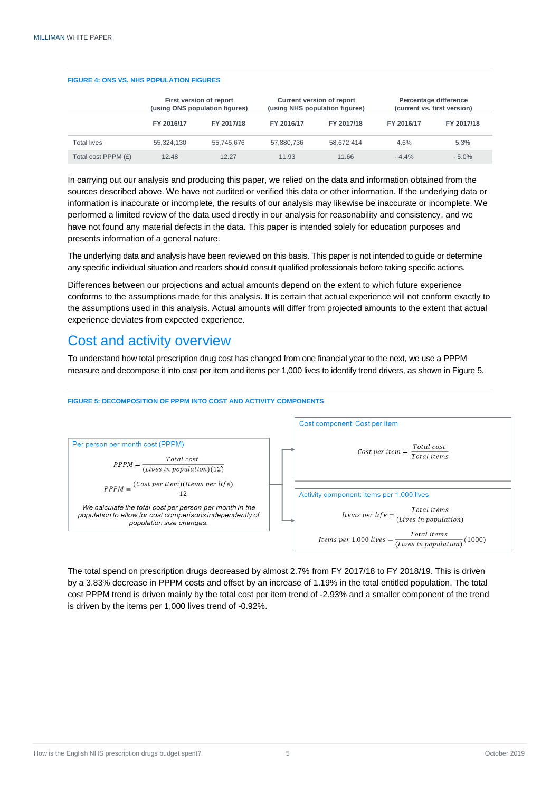#### **FIGURE 4: ONS VS. NHS POPULATION FIGURES**

|                     | First version of report<br>(using ONS population figures) |            |            | <b>Current version of report</b><br>(using NHS population figures) | Percentage difference<br>(current vs. first version) |            |  |
|---------------------|-----------------------------------------------------------|------------|------------|--------------------------------------------------------------------|------------------------------------------------------|------------|--|
|                     | FY 2016/17                                                | FY 2017/18 | FY 2016/17 | FY 2017/18                                                         | FY 2016/17                                           | FY 2017/18 |  |
| <b>Total lives</b>  | 55.324.130                                                | 55.745.676 | 57.880.736 | 58.672.414                                                         | 4.6%                                                 | 5.3%       |  |
| Total cost PPPM (£) | 12.48                                                     | 12.27      | 11.93      | 11.66                                                              | $-4.4\%$                                             | $-5.0\%$   |  |

In carrying out our analysis and producing this paper, we relied on the data and information obtained from the sources described above. We have not audited or verified this data or other information. If the underlying data or information is inaccurate or incomplete, the results of our analysis may likewise be inaccurate or incomplete. We performed a limited review of the data used directly in our analysis for reasonability and consistency, and we have not found any material defects in the data. This paper is intended solely for education purposes and presents information of a general nature.

The underlying data and analysis have been reviewed on this basis. This paper is not intended to guide or determine any specific individual situation and readers should consult qualified professionals before taking specific actions.

Differences between our projections and actual amounts depend on the extent to which future experience conforms to the assumptions made for this analysis. It is certain that actual experience will not conform exactly to the assumptions used in this analysis. Actual amounts will differ from projected amounts to the extent that actual experience deviates from expected experience.

## <span id="page-6-0"></span>Cost and activity overview

To understand how total prescription drug cost has changed from one financial year to the next, we use a PPPM measure and decompose it into cost per item and items per 1,000 lives to identify trend drivers, as shown in Figure 5.

#### **FIGURE 5: DECOMPOSITION OF PPPM INTO COST AND ACTIVITY COMPONENTS**



The total spend on prescription drugs decreased by almost 2.7% from FY 2017/18 to FY 2018/19. This is driven by a 3.83% decrease in PPPM costs and offset by an increase of 1.19% in the total entitled population. The total cost PPPM trend is driven mainly by the total cost per item trend of -2.93% and a smaller component of the trend is driven by the items per 1,000 lives trend of -0.92%.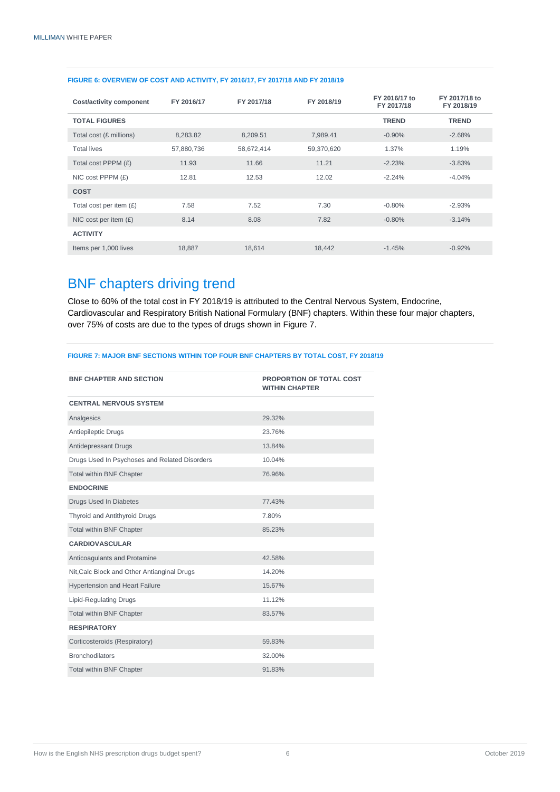| Cost/activity component   | FY 2016/17 | FY 2017/18 | FY 2018/19 | FY 2016/17 to<br>FY 2017/18 | FY 2017/18 to<br>FY 2018/19 |
|---------------------------|------------|------------|------------|-----------------------------|-----------------------------|
| <b>TOTAL FIGURES</b>      |            |            |            | <b>TREND</b>                | <b>TREND</b>                |
| Total cost (£ millions)   | 8,283.82   | 8,209.51   | 7,989.41   | $-0.90%$                    | $-2.68%$                    |
| <b>Total lives</b>        | 57,880,736 | 58,672,414 | 59,370,620 | 1.37%                       | 1.19%                       |
| Total cost PPPM (£)       | 11.93      | 11.66      | 11.21      | $-2.23%$                    | $-3.83\%$                   |
| NIC cost PPPM $(E)$       | 12.81      | 12.53      | 12.02      | $-2.24%$                    | $-4.04%$                    |
| <b>COST</b>               |            |            |            |                             |                             |
| Total cost per item $(E)$ | 7.58       | 7.52       | 7.30       | $-0.80%$                    | $-2.93%$                    |
| NIC cost per item $(E)$   | 8.14       | 8.08       | 7.82       | $-0.80%$                    | $-3.14%$                    |
| <b>ACTIVITY</b>           |            |            |            |                             |                             |
| Items per 1,000 lives     | 18,887     | 18,614     | 18,442     | $-1.45%$                    | $-0.92%$                    |

### **FIGURE 6: OVERVIEW OF COST AND ACTIVITY, FY 2016/17, FY 2017/18 AND FY 2018/19**

# <span id="page-7-0"></span>BNF chapters driving trend

Close to 60% of the total cost in FY 2018/19 is attributed to the Central Nervous System, Endocrine, Cardiovascular and Respiratory British National Formulary (BNF) chapters. Within these four major chapters, over 75% of costs are due to the types of drugs shown in Figure 7.

#### **FIGURE 7: MAJOR BNF SECTIONS WITHIN TOP FOUR BNF CHAPTERS BY TOTAL COST, FY 2018/19**

| <b>BNF CHAPTER AND SECTION</b>                | <b>PROPORTION OF TOTAL COST</b><br><b>WITHIN CHAPTER</b> |
|-----------------------------------------------|----------------------------------------------------------|
| <b>CENTRAL NERVOUS SYSTEM</b>                 |                                                          |
| Analgesics                                    | 29.32%                                                   |
| Antiepileptic Drugs                           | 23.76%                                                   |
| Antidepressant Drugs                          | 13.84%                                                   |
| Drugs Used In Psychoses and Related Disorders | 10.04%                                                   |
| <b>Total within BNF Chapter</b>               | 76.96%                                                   |
| <b>ENDOCRINE</b>                              |                                                          |
| Drugs Used In Diabetes                        | 77.43%                                                   |
| Thyroid and Antithyroid Drugs                 | 7.80%                                                    |
| <b>Total within BNF Chapter</b>               | 85.23%                                                   |
| <b>CARDIOVASCULAR</b>                         |                                                          |
| Anticoagulants and Protamine                  | 42.58%                                                   |
| Nit, Calc Block and Other Antianginal Drugs   | 14.20%                                                   |
| <b>Hypertension and Heart Failure</b>         | 15.67%                                                   |
| <b>Lipid-Regulating Drugs</b>                 | 11.12%                                                   |
| <b>Total within BNF Chapter</b>               | 83.57%                                                   |
| <b>RESPIRATORY</b>                            |                                                          |
| Corticosteroids (Respiratory)                 | 59.83%                                                   |
| <b>Bronchodilators</b>                        | 32.00%                                                   |
| <b>Total within BNF Chapter</b>               | 91.83%                                                   |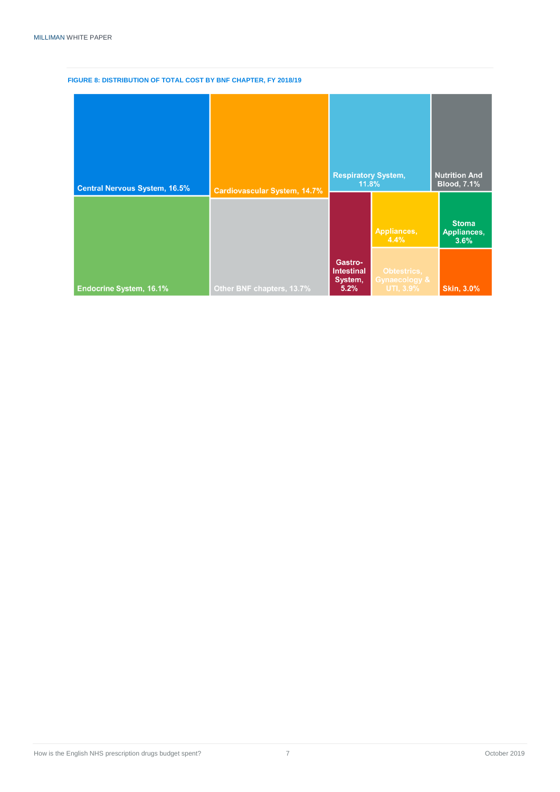### **FIGURE 8: DISTRIBUTION OF TOTAL COST BY BNF CHAPTER, FY 2018/19**

| <b>Central Nervous System, 16.5%</b> | <b>Cardiovascular System, 14.7%</b> | <b>Respiratory System,</b><br>11.8%             |                                           | <b>Nutrition And</b><br><b>Blood, 7.1%</b> |  |
|--------------------------------------|-------------------------------------|-------------------------------------------------|-------------------------------------------|--------------------------------------------|--|
|                                      |                                     |                                                 | Appliances,<br>4.4%                       | <b>Stoma</b><br>Appliances,<br>3.6%        |  |
| <b>Endocrine System, 16.1%</b>       | Other BNF chapters, 13.7%           | Gastro-<br><b>Intestinal</b><br>System,<br>5.2% | Obtestrics,<br>Gynaecology &<br>UTI, 3.9% | <b>Skin, 3.0%</b>                          |  |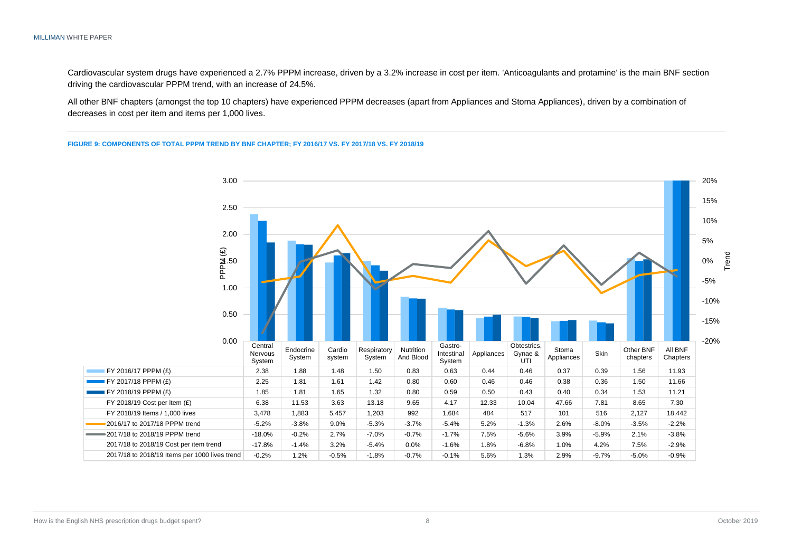Cardiovascular system drugs have experienced a 2.7% PPPM increase, driven by a 3.2% increase in cost per item. 'Anticoagulants and protamine' is the main BNF section driving the cardiovascular PPPM trend, with an increase of 24.5%.

All other BNF chapters (amongst the top 10 chapters) have experienced PPPM decreases (apart from Appliances and Stoma Appliances), driven by a combination of decreases in cost per item and items per 1,000 lives.

#### **FIGURE 9: COMPONENTS OF TOTAL PPPM TREND BY BNF CHAPTER; FY 2016/17 VS. FY 2017/18 VS. FY 2018/19**

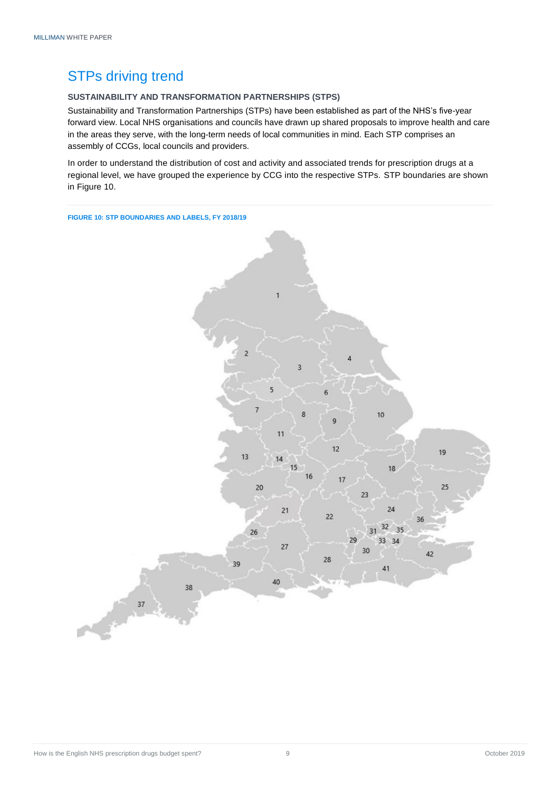# <span id="page-10-0"></span>STPs driving trend

### <span id="page-10-1"></span>**SUSTAINABILITY AND TRANSFORMATION PARTNERSHIPS (STPS)**

Sustainability and Transformation Partnerships (STPs) have been established as part of the NHS's five-year forward view. Local NHS organisations and councils have drawn up shared proposals to improve health and care in the areas they serve, with the long-term needs of local communities in mind. Each STP comprises an assembly of CCGs, local councils and providers.

In order to understand the distribution of cost and activity and associated trends for prescription drugs at a regional level, we have grouped the experience by CCG into the respective STPs. STP boundaries are shown in Figure 10.

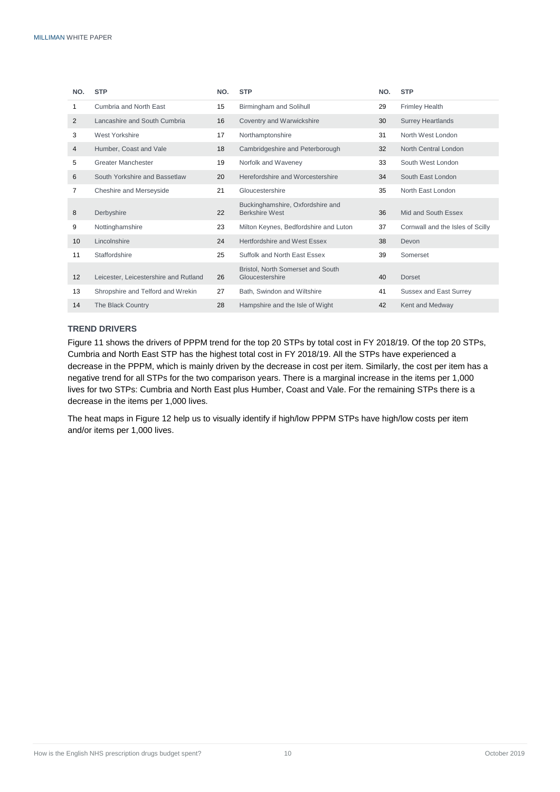| NO.             | <b>STP</b>                            | NO. | <b>STP</b>                                                | NO. | <b>STP</b>                       |
|-----------------|---------------------------------------|-----|-----------------------------------------------------------|-----|----------------------------------|
| 1               | Cumbria and North East                | 15  | Birmingham and Solihull                                   | 29  | <b>Frimley Health</b>            |
| 2               | Lancashire and South Cumbria          | 16  | Coventry and Warwickshire                                 | 30  | <b>Surrey Heartlands</b>         |
| 3               | West Yorkshire                        | 17  | Northamptonshire                                          | 31  | North West London                |
| 4               | Humber, Coast and Vale                | 18  | Cambridgeshire and Peterborough                           | 32  | North Central London             |
| 5               | <b>Greater Manchester</b>             | 19  | Norfolk and Waveney                                       | 33  | South West London                |
| 6               | South Yorkshire and Bassetlaw         | 20  | Herefordshire and Worcestershire                          | 34  | South East London                |
| 7               | Cheshire and Merseyside               | 21  | Gloucestershire                                           | 35  | North East London                |
| 8               | Derbyshire                            | 22  | Buckinghamshire, Oxfordshire and<br><b>Berkshire West</b> | 36  | Mid and South Essex              |
| 9               | Nottinghamshire                       | 23  | Milton Keynes, Bedfordshire and Luton                     | 37  | Cornwall and the Isles of Scilly |
| 10              | Lincolnshire                          | 24  | Hertfordshire and West Essex                              | 38  | Devon                            |
| 11              | Staffordshire                         | 25  | Suffolk and North East Essex                              | 39  | Somerset                         |
| 12 <sup>2</sup> | Leicester, Leicestershire and Rutland | 26  | Bristol, North Somerset and South<br>Gloucestershire      | 40  | <b>Dorset</b>                    |
| 13              | Shropshire and Telford and Wrekin     | 27  | Bath. Swindon and Wiltshire                               | 41  | <b>Sussex and East Surrey</b>    |
| 14              | The Black Country                     | 28  | Hampshire and the Isle of Wight                           | 42  | Kent and Medway                  |

### <span id="page-11-0"></span>**TREND DRIVERS**

Figure 11 shows the drivers of PPPM trend for the top 20 STPs by total cost in FY 2018/19. Of the top 20 STPs, Cumbria and North East STP has the highest total cost in FY 2018/19. All the STPs have experienced a decrease in the PPPM, which is mainly driven by the decrease in cost per item. Similarly, the cost per item has a negative trend for all STPs for the two comparison years. There is a marginal increase in the items per 1,000 lives for two STPs: Cumbria and North East plus Humber, Coast and Vale. For the remaining STPs there is a decrease in the items per 1,000 lives.

The heat maps in Figure 12 help us to visually identify if high/low PPPM STPs have high/low costs per item and/or items per 1,000 lives.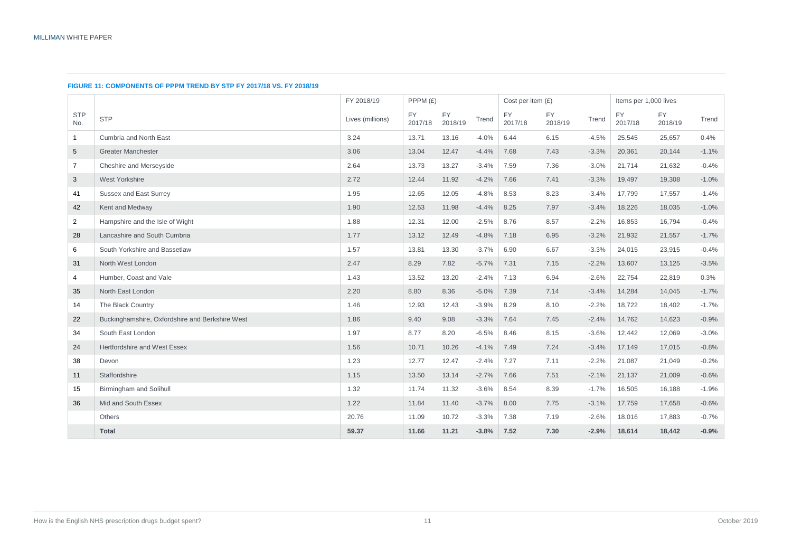#### **FIGURE 11: COMPONENTS OF PPPM TREND BY STP FY 2017/18 VS. FY 2018/19**

|                   |                                                 | FY 2018/19       |                      | PPPM (£)      |         | Cost per item $(E)$ |               | Items per 1,000 lives |                      |               |         |
|-------------------|-------------------------------------------------|------------------|----------------------|---------------|---------|---------------------|---------------|-----------------------|----------------------|---------------|---------|
| <b>STP</b><br>No. | <b>STP</b>                                      | Lives (millions) | <b>FY</b><br>2017/18 | FY<br>2018/19 | Trend   | FY.<br>2017/18      | FY<br>2018/19 | Trend                 | <b>FY</b><br>2017/18 | FY<br>2018/19 | Trend   |
| $\mathbf{1}$      | Cumbria and North East                          | 3.24             | 13.71                | 13.16         | $-4.0%$ | 6.44                | 6.15          | $-4.5%$               | 25,545               | 25,657        | 0.4%    |
| 5                 | <b>Greater Manchester</b>                       | 3.06             | 13.04                | 12.47         | $-4.4%$ | 7.68                | 7.43          | $-3.3%$               | 20,361               | 20,144        | $-1.1%$ |
| $\overline{7}$    | Cheshire and Merseyside                         | 2.64             | 13.73                | 13.27         | $-3.4%$ | 7.59                | 7.36          | $-3.0%$               | 21,714               | 21,632        | $-0.4%$ |
| 3                 | West Yorkshire                                  | 2.72             | 12.44                | 11.92         | $-4.2%$ | 7.66                | 7.41          | $-3.3%$               | 19,497               | 19,308        | $-1.0%$ |
| 41                | <b>Sussex and East Surrey</b>                   | 1.95             | 12.65                | 12.05         | $-4.8%$ | 8.53                | 8.23          | $-3.4%$               | 17,799               | 17,557        | $-1.4%$ |
| 42                | Kent and Medway                                 | 1.90             | 12.53                | 11.98         | $-4.4%$ | 8.25                | 7.97          | $-3.4%$               | 18,226               | 18,035        | $-1.0%$ |
| $\overline{2}$    | Hampshire and the Isle of Wight                 | 1.88             | 12.31                | 12.00         | $-2.5%$ | 8.76                | 8.57          | $-2.2%$               | 16,853               | 16,794        | $-0.4%$ |
| 28                | Lancashire and South Cumbria                    | 1.77             | 13.12                | 12.49         | $-4.8%$ | 7.18                | 6.95          | $-3.2%$               | 21,932               | 21,557        | $-1.7%$ |
| 6                 | South Yorkshire and Bassetlaw                   | 1.57             | 13.81                | 13.30         | $-3.7%$ | 6.90                | 6.67          | $-3.3%$               | 24,015               | 23,915        | $-0.4%$ |
| 31                | North West London                               | 2.47             | 8.29                 | 7.82          | $-5.7%$ | 7.31                | 7.15          | $-2.2%$               | 13,607               | 13,125        | $-3.5%$ |
| $\overline{4}$    | Humber, Coast and Vale                          | 1.43             | 13.52                | 13.20         | $-2.4%$ | 7.13                | 6.94          | $-2.6%$               | 22,754               | 22,819        | 0.3%    |
| 35                | North East London                               | 2.20             | 8.80                 | 8.36          | $-5.0%$ | 7.39                | 7.14          | $-3.4%$               | 14,284               | 14,045        | $-1.7%$ |
| 14                | The Black Country                               | 1.46             | 12.93                | 12.43         | $-3.9%$ | 8.29                | 8.10          | $-2.2%$               | 18,722               | 18,402        | $-1.7%$ |
| 22                | Buckinghamshire, Oxfordshire and Berkshire West | 1.86             | 9.40                 | 9.08          | $-3.3%$ | 7.64                | 7.45          | $-2.4%$               | 14,762               | 14,623        | $-0.9%$ |
| 34                | South East London                               | 1.97             | 8.77                 | 8.20          | $-6.5%$ | 8.46                | 8.15          | $-3.6%$               | 12,442               | 12,069        | $-3.0%$ |
| 24                | Hertfordshire and West Essex                    | 1.56             | 10.71                | 10.26         | $-4.1%$ | 7.49                | 7.24          | $-3.4%$               | 17,149               | 17,015        | $-0.8%$ |
| 38                | Devon                                           | 1.23             | 12.77                | 12.47         | $-2.4%$ | 7.27                | 7.11          | $-2.2%$               | 21,087               | 21,049        | $-0.2%$ |
| 11                | Staffordshire                                   | 1.15             | 13.50                | 13.14         | $-2.7%$ | 7.66                | 7.51          | $-2.1%$               | 21,137               | 21,009        | $-0.6%$ |
| 15                | Birmingham and Solihull                         | 1.32             | 11.74                | 11.32         | $-3.6%$ | 8.54                | 8.39          | $-1.7%$               | 16,505               | 16,188        | $-1.9%$ |
| 36                | Mid and South Essex                             | 1.22             | 11.84                | 11.40         | $-3.7%$ | 8.00                | 7.75          | $-3.1%$               | 17,759               | 17,658        | $-0.6%$ |
|                   | Others                                          | 20.76            | 11.09                | 10.72         | $-3.3%$ | 7.38                | 7.19          | $-2.6%$               | 18,016               | 17,883        | $-0.7%$ |
|                   | <b>Total</b>                                    | 59.37            | 11.66                | 11.21         | $-3.8%$ | 7.52                | 7.30          | $-2.9%$               | 18,614               | 18,442        | $-0.9%$ |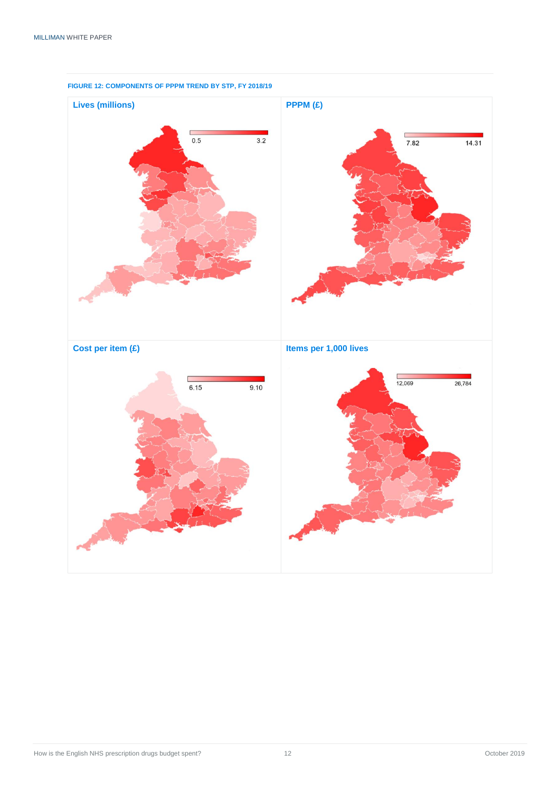

### **FIGURE 12: COMPONENTS OF PPPM TREND BY STP, FY 2018/19**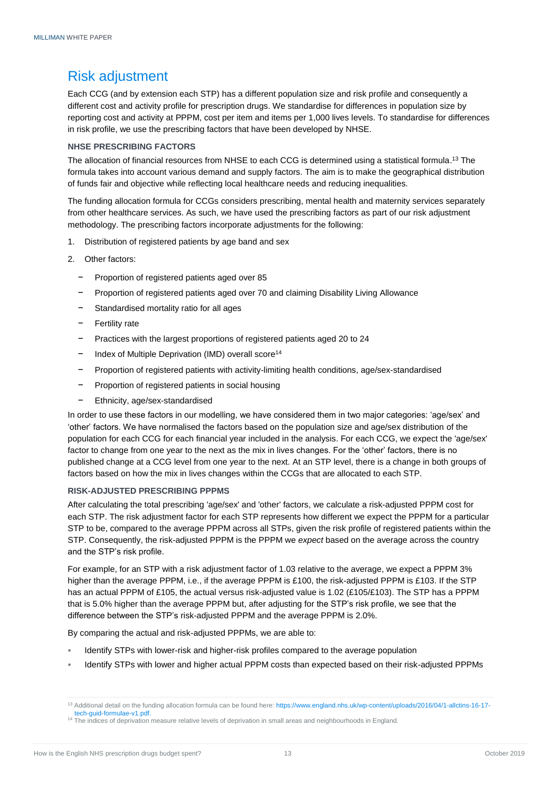# <span id="page-14-0"></span>Risk adjustment

Each CCG (and by extension each STP) has a different population size and risk profile and consequently a different cost and activity profile for prescription drugs. We standardise for differences in population size by reporting cost and activity at PPPM, cost per item and items per 1,000 lives levels. To standardise for differences in risk profile, we use the prescribing factors that have been developed by NHSE.

### <span id="page-14-1"></span>**NHSE PRESCRIBING FACTORS**

The allocation of financial resources from NHSE to each CCG is determined using a statistical formula.<sup>13</sup> The formula takes into account various demand and supply factors. The aim is to make the geographical distribution of funds fair and objective while reflecting local healthcare needs and reducing inequalities.

The funding allocation formula for CCGs considers prescribing, mental health and maternity services separately from other healthcare services. As such, we have used the prescribing factors as part of our risk adjustment methodology. The prescribing factors incorporate adjustments for the following:

- 1. Distribution of registered patients by age band and sex
- 2. Other factors:
	- − Proportion of registered patients aged over 85
	- − Proportion of registered patients aged over 70 and claiming Disability Living Allowance
	- Standardised mortality ratio for all ages
	- − Fertility rate
	- − Practices with the largest proportions of registered patients aged 20 to 24
	- Index of Multiple Deprivation (IMD) overall score<sup>14</sup>
	- − Proportion of registered patients with activity-limiting health conditions, age/sex-standardised
	- Proportion of registered patients in social housing
	- − Ethnicity, age/sex-standardised

In order to use these factors in our modelling, we have considered them in two major categories: 'age/sex' and 'other' factors. We have normalised the factors based on the population size and age/sex distribution of the population for each CCG for each financial year included in the analysis. For each CCG, we expect the 'age/sex' factor to change from one year to the next as the mix in lives changes. For the 'other' factors, there is no published change at a CCG level from one year to the next. At an STP level, there is a change in both groups of factors based on how the mix in lives changes within the CCGs that are allocated to each STP.

### <span id="page-14-2"></span>**RISK-ADJUSTED PRESCRIBING PPPMS**

After calculating the total prescribing 'age/sex' and 'other' factors, we calculate a risk-adjusted PPPM cost for each STP. The risk adjustment factor for each STP represents how different we expect the PPPM for a particular STP to be, compared to the average PPPM across all STPs, given the risk profile of registered patients within the STP. Consequently, the risk-adjusted PPPM is the PPPM we *expect* based on the average across the country and the STP's risk profile.

For example, for an STP with a risk adjustment factor of 1.03 relative to the average, we expect a PPPM 3% higher than the average PPPM, i.e., if the average PPPM is £100, the risk-adjusted PPPM is £103. If the STP has an actual PPPM of £105, the actual versus risk-adjusted value is 1.02 (£105/£103). The STP has a PPPM that is 5.0% higher than the average PPPM but, after adjusting for the STP's risk profile, we see that the difference between the STP's risk-adjusted PPPM and the average PPPM is 2.0%.

By comparing the actual and risk-adjusted PPPMs, we are able to:

- Identify STPs with lower-risk and higher-risk profiles compared to the average population
- Identify STPs with lower and higher actual PPPM costs than expected based on their risk-adjusted PPPMs

<sup>&</sup>lt;sup>13</sup> Additional detail on the funding allocation formula can be found here: [https://www.england.nhs.uk/wp-content/uploads/2016/04/1-allctins-16-17](https://www.england.nhs.uk/wp-content/uploads/2016/04/1-allctins-16-17-tech-guid-formulae-v1.pdf) [tech-guid-formulae-v1.pdf.](https://www.england.nhs.uk/wp-content/uploads/2016/04/1-allctins-16-17-tech-guid-formulae-v1.pdf)

<sup>14</sup> The indices of deprivation measure relative levels of deprivation in small areas and neighbourhoods in England.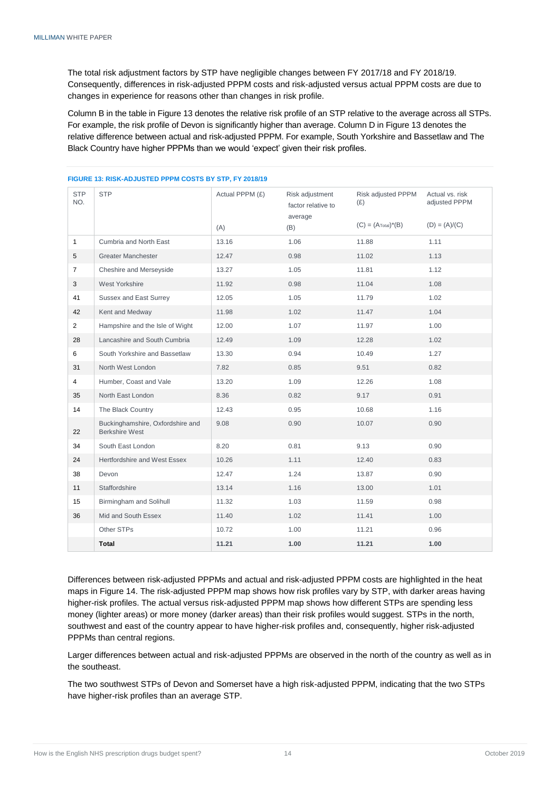The total risk adjustment factors by STP have negligible changes between FY 2017/18 and FY 2018/19. Consequently, differences in risk-adjusted PPPM costs and risk-adjusted versus actual PPPM costs are due to changes in experience for reasons other than changes in risk profile.

Column B in the table in Figure 13 denotes the relative risk profile of an STP relative to the average across all STPs. For example, the risk profile of Devon is significantly higher than average. Column D in Figure 13 denotes the relative difference between actual and risk-adjusted PPPM. For example, South Yorkshire and Bassetlaw and The Black Country have higher PPPMs than we would 'expect' given their risk profiles.

| <b>STP</b><br>NO. | <b>STP</b>                                                | Actual PPPM (£)<br>(A) | Risk adjustment<br>factor relative to<br>average<br>(B) | Risk adjusted PPPM<br>(E)<br>$(C) = (ATotal)*(B)$ | Actual vs. risk<br>adjusted PPPM<br>$(D) = (A)/(C)$ |
|-------------------|-----------------------------------------------------------|------------------------|---------------------------------------------------------|---------------------------------------------------|-----------------------------------------------------|
| $\mathbf{1}$      | Cumbria and North East                                    | 13.16                  | 1.06                                                    | 11.88                                             | 1.11                                                |
| 5                 | <b>Greater Manchester</b>                                 | 12.47                  | 0.98                                                    | 11.02                                             | 1.13                                                |
| $\overline{7}$    | Cheshire and Merseyside                                   | 13.27                  | 1.05                                                    | 11.81                                             | 1.12                                                |
| 3                 | West Yorkshire                                            | 11.92                  | 0.98                                                    | 11.04                                             | 1.08                                                |
| 41                | Sussex and East Surrey                                    | 12.05                  | 1.05                                                    | 11.79                                             | 1.02                                                |
| 42                | Kent and Medway                                           | 11.98                  | 1.02                                                    | 11.47                                             | 1.04                                                |
| $\overline{2}$    | Hampshire and the Isle of Wight                           | 12.00                  | 1.07                                                    | 11.97                                             | 1.00                                                |
| 28                | Lancashire and South Cumbria                              | 12.49                  | 1.09                                                    | 12.28                                             | 1.02                                                |
| 6                 | South Yorkshire and Bassetlaw                             | 13.30                  | 0.94                                                    | 10.49                                             | 1.27                                                |
| 31                | North West London                                         | 7.82                   | 0.85                                                    | 9.51                                              | 0.82                                                |
| 4                 | Humber, Coast and Vale                                    | 13.20                  | 1.09                                                    | 12.26                                             | 1.08                                                |
| 35                | North East London                                         | 8.36                   | 0.82                                                    | 9.17                                              | 0.91                                                |
| 14                | The Black Country                                         | 12.43                  | 0.95                                                    | 10.68                                             | 1.16                                                |
| 22                | Buckinghamshire, Oxfordshire and<br><b>Berkshire West</b> | 9.08                   | 0.90                                                    | 10.07                                             | 0.90                                                |
| 34                | South East London                                         | 8.20                   | 0.81                                                    | 9.13                                              | 0.90                                                |
| 24                | Hertfordshire and West Essex                              | 10.26                  | 1.11                                                    | 12.40                                             | 0.83                                                |
| 38                | Devon                                                     | 12.47                  | 1.24                                                    | 13.87                                             | 0.90                                                |
| 11                | Staffordshire                                             | 13.14                  | 1.16                                                    | 13.00                                             | 1.01                                                |
| 15                | Birmingham and Solihull                                   | 11.32                  | 1.03                                                    | 11.59                                             | 0.98                                                |
| 36                | Mid and South Essex                                       | 11.40                  | 1.02                                                    | 11.41                                             | 1.00                                                |
|                   | Other STPs                                                | 10.72                  | 1.00                                                    | 11.21                                             | 0.96                                                |
|                   | Total                                                     | 11.21                  | 1.00                                                    | 11.21                                             | 1.00                                                |

#### **FIGURE 13: RISK-ADJUSTED PPPM COSTS BY STP, FY 2018/19**

Differences between risk-adjusted PPPMs and actual and risk-adjusted PPPM costs are highlighted in the heat maps in Figure 14. The risk-adjusted PPPM map shows how risk profiles vary by STP, with darker areas having higher-risk profiles. The actual versus risk-adjusted PPPM map shows how different STPs are spending less money (lighter areas) or more money (darker areas) than their risk profiles would suggest. STPs in the north, southwest and east of the country appear to have higher-risk profiles and, consequently, higher risk-adjusted PPPMs than central regions.

Larger differences between actual and risk-adjusted PPPMs are observed in the north of the country as well as in the southeast.

The two southwest STPs of Devon and Somerset have a high risk-adjusted PPPM, indicating that the two STPs have higher-risk profiles than an average STP.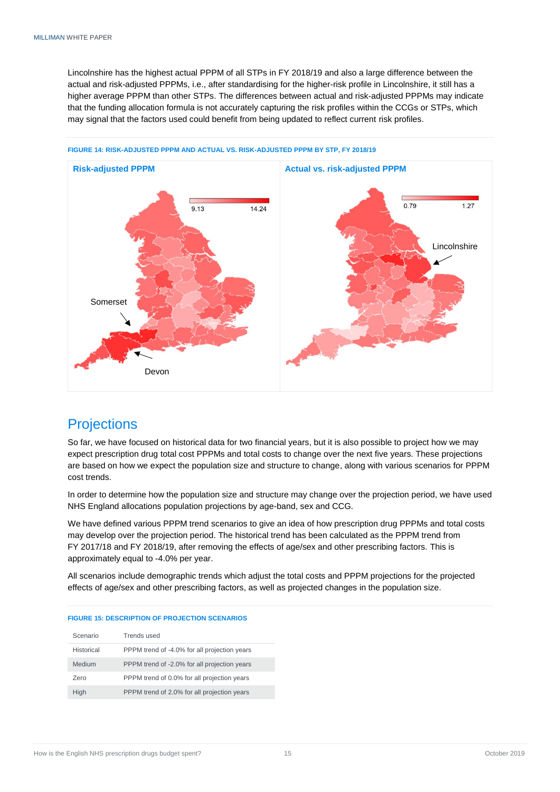Lincolnshire has the highest actual PPPM of all STPs in FY 2018/19 and also a large difference between the actual and risk-adjusted PPPMs, i.e., after standardising for the higher-risk profile in Lincolnshire, it still has a higher average PPPM than other STPs. The differences between actual and risk-adjusted PPPMs may indicate that the funding allocation formula is not accurately capturing the risk profiles within the CCGs or STPs, which may signal that the factors used could benefit from being updated to reflect current risk profiles.



**FIGURE 14: RISK-ADJUSTED PPPM AND ACTUAL VS. RISK-ADJUSTED PPPM BY STP, FY 2018/19**

# <span id="page-16-0"></span>**Projections**

So far, we have focused on historical data for two financial years, but it is also possible to project how we may expect prescription drug total cost PPPMs and total costs to change over the next five years. These projections are based on how we expect the population size and structure to change, along with various scenarios for PPPM cost trends.

In order to determine how the population size and structure may change over the projection period, we have used NHS England allocations population projections by age-band, sex and CCG.

We have defined various PPPM trend scenarios to give an idea of how prescription drug PPPMs and total costs may develop over the projection period. The historical trend has been calculated as the PPPM trend from FY 2017/18 and FY 2018/19, after removing the effects of age/sex and other prescribing factors. This is approximately equal to -4.0% per year.

All scenarios include demographic trends which adjust the total costs and PPPM projections for the projected effects of age/sex and other prescribing factors, as well as projected changes in the population size.

| Scenario   | Trends used                                  |
|------------|----------------------------------------------|
| Historical | PPPM trend of -4.0% for all projection years |
| Medium     | PPPM trend of -2.0% for all projection years |
| Zero       | PPPM trend of 0.0% for all projection years  |
| High       | PPPM trend of 2.0% for all projection years  |

#### **FIGURE 15: DESCRIPTION OF PROJECTION SCENARIOS**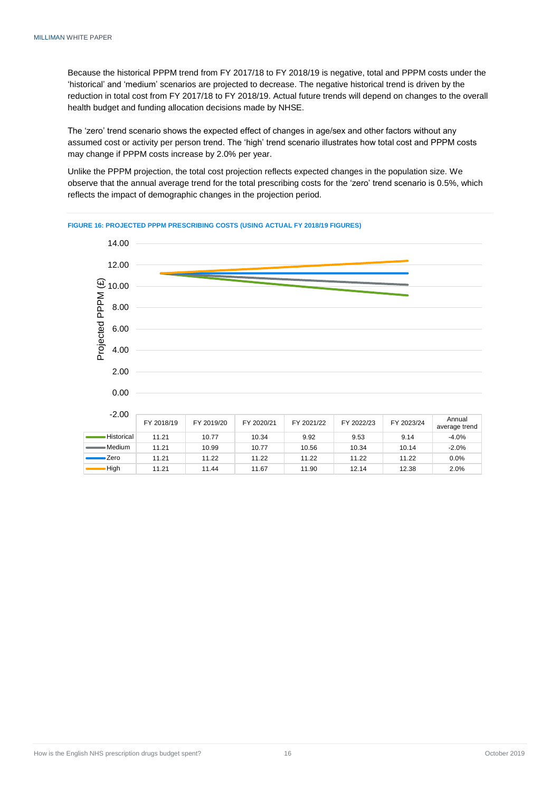Because the historical PPPM trend from FY 2017/18 to FY 2018/19 is negative, total and PPPM costs under the 'historical' and 'medium' scenarios are projected to decrease. The negative historical trend is driven by the reduction in total cost from FY 2017/18 to FY 2018/19. Actual future trends will depend on changes to the overall health budget and funding allocation decisions made by NHSE.

The 'zero' trend scenario shows the expected effect of changes in age/sex and other factors without any assumed cost or activity per person trend. The 'high' trend scenario illustrates how total cost and PPPM costs may change if PPPM costs increase by 2.0% per year.

Unlike the PPPM projection, the total cost projection reflects expected changes in the population size. We observe that the annual average trend for the total prescribing costs for the 'zero' trend scenario is 0.5%, which reflects the impact of demographic changes in the projection period.



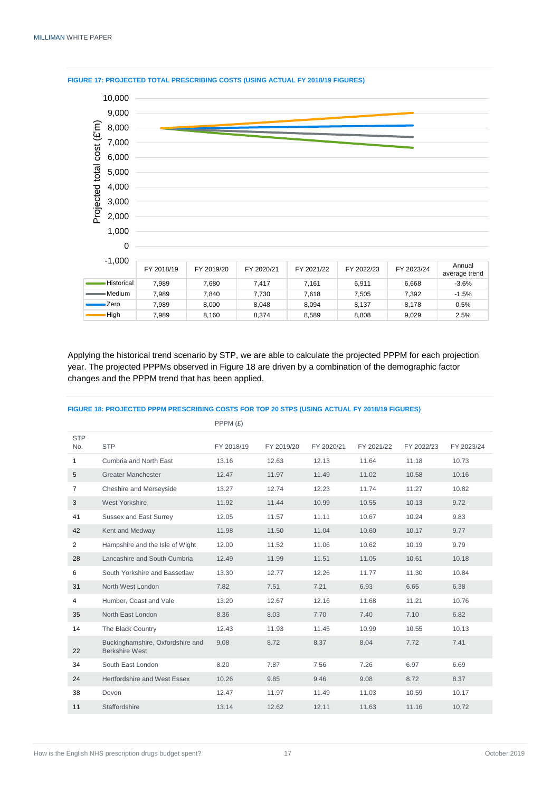

**FIGURE 17: PROJECTED TOTAL PRESCRIBING COSTS (USING ACTUAL FY 2018/19 FIGURES)**

Applying the historical trend scenario by STP, we are able to calculate the projected PPPM for each projection year. The projected PPPMs observed in Figure 18 are driven by a combination of the demographic factor changes and the PPPM trend that has been applied.

|                   |                                                           | PPPM (£)   |            |            |            |            |            |
|-------------------|-----------------------------------------------------------|------------|------------|------------|------------|------------|------------|
| <b>STP</b><br>No. | <b>STP</b>                                                | FY 2018/19 | FY 2019/20 | FY 2020/21 | FY 2021/22 | FY 2022/23 | FY 2023/24 |
| 1                 | Cumbria and North East                                    | 13.16      | 12.63      | 12.13      | 11.64      | 11.18      | 10.73      |
| 5                 | <b>Greater Manchester</b>                                 | 12.47      | 11.97      | 11.49      | 11.02      | 10.58      | 10.16      |
| $\overline{7}$    | Cheshire and Merseyside                                   | 13.27      | 12.74      | 12.23      | 11.74      | 11.27      | 10.82      |
| 3                 | West Yorkshire                                            | 11.92      | 11.44      | 10.99      | 10.55      | 10.13      | 9.72       |
| 41                | Sussex and East Surrey                                    | 12.05      | 11.57      | 11.11      | 10.67      | 10.24      | 9.83       |
| 42                | Kent and Medway                                           | 11.98      | 11.50      | 11.04      | 10.60      | 10.17      | 9.77       |
| $\overline{2}$    | Hampshire and the Isle of Wight                           | 12.00      | 11.52      | 11.06      | 10.62      | 10.19      | 9.79       |
| 28                | Lancashire and South Cumbria                              | 12.49      | 11.99      | 11.51      | 11.05      | 10.61      | 10.18      |
| 6                 | South Yorkshire and Bassetlaw                             | 13.30      | 12.77      | 12.26      | 11.77      | 11.30      | 10.84      |
| 31                | North West London                                         | 7.82       | 7.51       | 7.21       | 6.93       | 6.65       | 6.38       |
| 4                 | Humber, Coast and Vale                                    | 13.20      | 12.67      | 12.16      | 11.68      | 11.21      | 10.76      |
| 35                | North East London                                         | 8.36       | 8.03       | 7.70       | 7.40       | 7.10       | 6.82       |
| 14                | The Black Country                                         | 12.43      | 11.93      | 11.45      | 10.99      | 10.55      | 10.13      |
| 22                | Buckinghamshire, Oxfordshire and<br><b>Berkshire West</b> | 9.08       | 8.72       | 8.37       | 8.04       | 7.72       | 7.41       |
| 34                | South East London                                         | 8.20       | 7.87       | 7.56       | 7.26       | 6.97       | 6.69       |
| 24                | Hertfordshire and West Essex                              | 10.26      | 9.85       | 9.46       | 9.08       | 8.72       | 8.37       |
| 38                | Devon                                                     | 12.47      | 11.97      | 11.49      | 11.03      | 10.59      | 10.17      |
| 11                | Staffordshire                                             | 13.14      | 12.62      | 12.11      | 11.63      | 11.16      | 10.72      |

#### **FIGURE 18: PROJECTED PPPM PRESCRIBING COSTS FOR TOP 20 STPS (USING ACTUAL FY 2018/19 FIGURES)**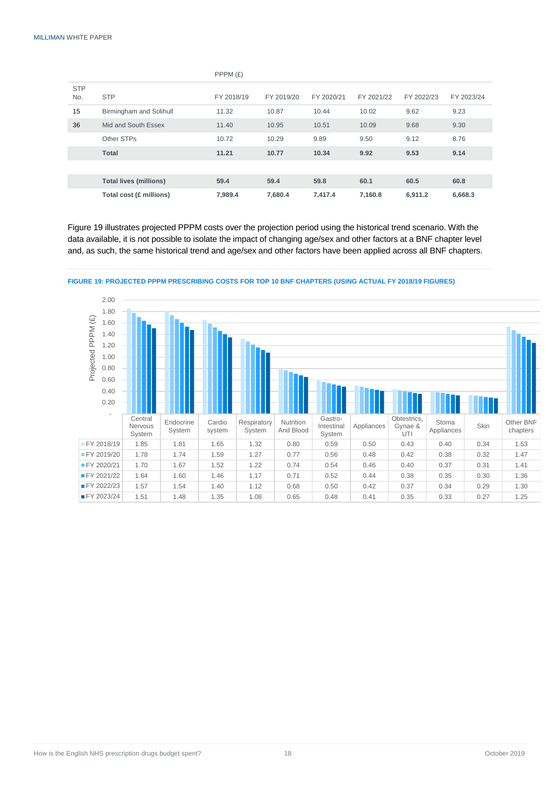|                   |                               | PPPM(E)    |            |            |            |            |            |
|-------------------|-------------------------------|------------|------------|------------|------------|------------|------------|
| <b>STP</b><br>No. | <b>STP</b>                    | FY 2018/19 | FY 2019/20 | FY 2020/21 | FY 2021/22 | FY 2022/23 | FY 2023/24 |
| 15                | Birmingham and Solihull       | 11.32      | 10.87      | 10.44      | 10.02      | 9.62       | 9.23       |
| 36                | Mid and South Essex           | 11.40      | 10.95      | 10.51      | 10.09      | 9.68       | 9.30       |
|                   | Other STPs                    | 10.72      | 10.29      | 9.89       | 9.50       | 9.12       | 8.76       |
|                   | <b>Total</b>                  | 11.21      | 10.77      | 10.34      | 9.92       | 9.53       | 9.14       |
|                   |                               |            |            |            |            |            |            |
|                   | <b>Total lives (millions)</b> | 59.4       | 59.4       | 59.8       | 60.1       | 60.5       | 60.8       |
|                   | Total cost (£ millions)       | 7,989.4    | 7,680.4    | 7,417.4    | 7,160.8    | 6,911.2    | 6,668.3    |

Figure 19 illustrates projected PPPM costs over the projection period using the historical trend scenario. With the data available, it is not possible to isolate the impact of changing age/sex and other factors at a BNF chapter level and, as such, the same historical trend and age/sex and other factors have been applied across all BNF chapters.



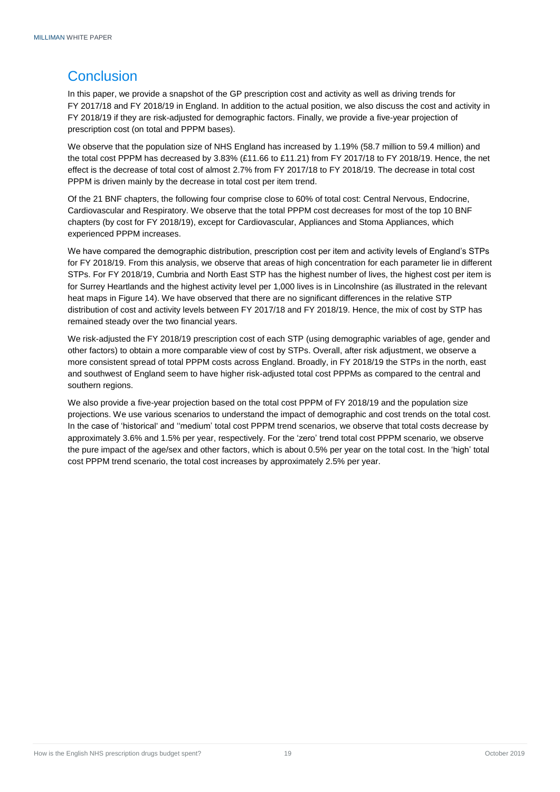# <span id="page-20-0"></span>**Conclusion**

In this paper, we provide a snapshot of the GP prescription cost and activity as well as driving trends for FY 2017/18 and FY 2018/19 in England. In addition to the actual position, we also discuss the cost and activity in FY 2018/19 if they are risk-adjusted for demographic factors. Finally, we provide a five-year projection of prescription cost (on total and PPPM bases).

We observe that the population size of NHS England has increased by 1.19% (58.7 million to 59.4 million) and the total cost PPPM has decreased by 3.83% (£11.66 to £11.21) from FY 2017/18 to FY 2018/19. Hence, the net effect is the decrease of total cost of almost 2.7% from FY 2017/18 to FY 2018/19. The decrease in total cost PPPM is driven mainly by the decrease in total cost per item trend.

Of the 21 BNF chapters, the following four comprise close to 60% of total cost: Central Nervous, Endocrine, Cardiovascular and Respiratory. We observe that the total PPPM cost decreases for most of the top 10 BNF chapters (by cost for FY 2018/19), except for Cardiovascular, Appliances and Stoma Appliances, which experienced PPPM increases.

We have compared the demographic distribution, prescription cost per item and activity levels of England's STPs for FY 2018/19. From this analysis, we observe that areas of high concentration for each parameter lie in different STPs. For FY 2018/19, Cumbria and North East STP has the highest number of lives, the highest cost per item is for Surrey Heartlands and the highest activity level per 1,000 lives is in Lincolnshire (as illustrated in the relevant heat maps in Figure 14). We have observed that there are no significant differences in the relative STP distribution of cost and activity levels between FY 2017/18 and FY 2018/19. Hence, the mix of cost by STP has remained steady over the two financial years.

We risk-adjusted the FY 2018/19 prescription cost of each STP (using demographic variables of age, gender and other factors) to obtain a more comparable view of cost by STPs. Overall, after risk adjustment, we observe a more consistent spread of total PPPM costs across England. Broadly, in FY 2018/19 the STPs in the north, east and southwest of England seem to have higher risk-adjusted total cost PPPMs as compared to the central and southern regions.

We also provide a five-year projection based on the total cost PPPM of FY 2018/19 and the population size projections. We use various scenarios to understand the impact of demographic and cost trends on the total cost. In the case of 'historical' and ''medium' total cost PPPM trend scenarios, we observe that total costs decrease by approximately 3.6% and 1.5% per year, respectively. For the 'zero' trend total cost PPPM scenario, we observe the pure impact of the age/sex and other factors, which is about 0.5% per year on the total cost. In the 'high' total cost PPPM trend scenario, the total cost increases by approximately 2.5% per year.